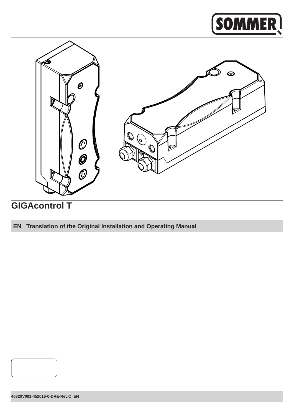# **SOMMER**



## **GIGAcontrol T**

### **EN Translation of the Original Installation and Operating Manual**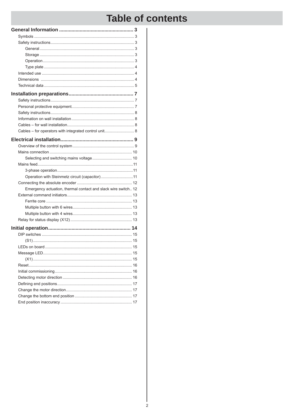## **Table of contents**

| Cables - for operators with integrated control unit 8         |    |
|---------------------------------------------------------------|----|
|                                                               |    |
|                                                               |    |
|                                                               |    |
|                                                               |    |
|                                                               |    |
|                                                               |    |
| Operation with Steinmetz circuit (capacitor) 11               |    |
|                                                               |    |
| Emergency actuation, thermal contact and slack wire switch 12 |    |
|                                                               |    |
|                                                               |    |
|                                                               |    |
|                                                               |    |
|                                                               |    |
|                                                               |    |
|                                                               |    |
|                                                               |    |
|                                                               | 15 |
|                                                               |    |
|                                                               |    |
|                                                               |    |
|                                                               |    |
|                                                               |    |
|                                                               |    |
|                                                               |    |
|                                                               |    |
| End position inaccuracy                                       | 17 |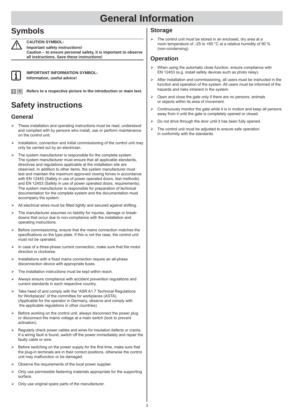### **Symbols**

**CAUTION SYMBOL:**

**Important safety instructions!**

**Caution – to ensure personal safety, it is important to observe all instructions. Save these instructions!**



**IMPORTANT INFORMATION SYMBOL: Information, useful advice!**

**Refers to a respective picture in the introduction or main text.** 

### **Safety instructions**

### **General**

- These installation and operating instructions must be read, understood and complied with by persons who install, use or perform maintenance on the control unit.
- Installation, connection and initial commissioning of the control unit may only be carried out by an electrician.
- $\triangleright$  The system manufacturer is responsible for the complete system. The system manufacturer must ensure that all applicable standards, directives and regulations applicable at the installation site are observed. In addition to other items, the system manufacturer must test and maintain the maximum approved closing forces in accordance with EN 12445 (Safety in use of power operated doors, test methods) and EN 12453 (Safety in use of power operated doors, requirements). The system manufacturer is responsible for preparation of technical documentation for the complete system and the documentation must accompany the system.
- $\triangleright$  All electrical wires must be fitted tightly and secured against shifting.
- The manufacturer assumes no liability for injuries, damage or breakdowns that occur due to non-compliance with the installation and operating instructions.
- Before commissioning, ensure that the mains connection matches the specifications on the type plate. If this is not the case, the control unit must not be operated.
- In case of a three-phase current connection, make sure that the motor direction is clockwise.
- Installations with a fixed mains connection require an all-phase disconnection device with appropriate fuses.
- The installation instructions must be kept within reach.
- Always ensure compliance with accident prevention regulations and current standards in each respective country.
- Take heed of and comply with the "ASR A1.7 Technical Regulations for Workplaces" of the committee for workplaces (ASTA). (Applicable for the operator in Germany, observe and comply with the applicable regulations in other countries).
- Before working on the control unit, always disconnect the power plug or disconnect the mains voltage at a main switch (lock to prevent activation).
- Regularly check power cables and wires for insulation defects or cracks. If a wiring fault is found, switch off the power immediately and repair the faulty cable or wire.
- Before switching on the power supply for the first time, make sure that the plug-in terminals are in their correct positions, otherwise the control unit may malfunction or be damaged.
- Observe the requirements of the local power supplier.
- Only use permissible fastening materials appropriate for the supporting surface.
- Only use original spare parts of the manufacturer.

### **Storage**

 $\triangleright$  The control unit must be stored in an enclosed, dry area at a room temperature of –25 to +65 °C at a relative humidity of 90 % (non-condensing).

### **Operation**

- $\triangleright$  When using the automatic close function, ensure compliance with EN 12453 (e.g. install safety devices such as photo relay).
- $\triangleright$  After installation and commissioning, all users must be instructed in the function and operation of the system. All users must be informed of the hazards and risks inherent in the system.
- $\triangleright$  Open and close the gate only if there are no persons, animals or objects within its area of movement.
- $\triangleright$  Continuously monitor the gate while it is in motion and keep all persons away from it until the gate is completely opened or closed.
- $\triangleright$  Do not drive through the door until it has been fully opened.
- $\triangleright$  The control unit must be adjusted to ensure safe operation in conformity with the standards.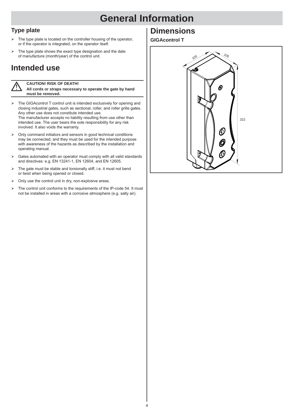### **Type plate**

- The type plate is located on the controller housing of the operator, or if the operator is integrated, on the operator itself.
- $\triangleright$  The type plate shows the exact type designation and the date of manufacture (month/year) of the control unit.

### **Intended use**

#### **CAUTION! RISK OF DEATH!**

**All cords or straps necessary to operate the gate by hand must be removed.**

- $\triangleright$  The GIGAcontrol T control unit is intended exclusively for opening and closing industrial gates, such as sectional, roller, and roller grille gates. Any other use does not constitute intended use. The manufacturer accepts no liability resulting from use other than intended use. The user bears the sole responsibility for any risk involved. It also voids the warranty.
- $\geq$  Only command initiators and sensors in good technical conditions may be connected, and they must be used for the intended purpose with awareness of the hazards as described by the installation and operating manual.
- $\triangleright$  Gates automated with an operator must comply with all valid standards and directives: e.g. EN 13241-1, EN 12604, and EN 12605.
- $\triangleright$  The gate must be stable and torsionally stiff, i.e. it must not bend or twist when being opened or closed.
- $\triangleright$  Only use the control unit in dry, non-explosive areas.
- $\triangleright$  The control unit conforms to the requirements of the IP-code 54. It must not be installed in areas with a corrosive atmosphere (e.g. salty air).

### **Dimensions**

#### **GIGAcontrol T**

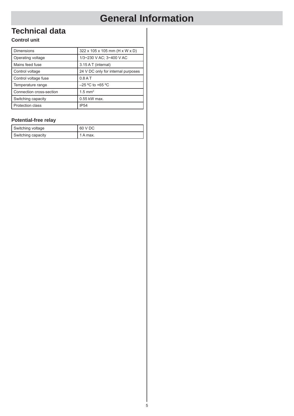### **Technical data**

#### **Control unit**

| <b>Dimensions</b>        | 322 x 105 x 105 mm (H x W x D)     |
|--------------------------|------------------------------------|
| Operating voltage        | 1/3~230 V AC; 3~400 V AC           |
| Mains feed fuse          | 3.15 A T (internal)                |
| Control voltage          | 24 V DC only for internal purposes |
| Control voltage fuse     | $0.8A$ T                           |
| Temperature range        | $-25$ °C to +65 °C                 |
| Connection cross-section | $1.5$ mm <sup>2</sup>              |
| Switching capacity       | $0.55$ kW max.                     |
| <b>Protection class</b>  | <b>IP54</b>                        |

#### **Potential-free relay**

| Switching voltage  | 60 V DC  |
|--------------------|----------|
| Switching capacity | 1 A max. |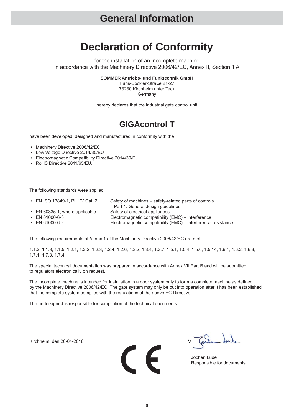## **Declaration of Conformity**

for the installation of an incomplete machine in accordance with the Machinery Directive 2006/42/EC, Annex II, Section 1 A

**SOMMER Antriebs- und Funktechnik GmbH**

Hans-Böckler-Straße 21-27 73230 Kirchheim unter Teck **Germany** 

hereby declares that the industrial gate control unit

### **GIGAcontrol T**

have been developed, designed and manufactured in conformity with the

- Machinery Directive 2006/42/EC
- Low Voltage Directive 2014/35/EU
- Electromagnetic Compatibility Directive 2014/30/EU
- RoHS Directive 2011/65/EU.

The following standards were applied:

- EN ISO 13849-1, PL "C" Cat. 2 Safety of machines safety-related parts of controls
- EN 60335-1, where applicable Safety of electrical appliances

– Part 1: General design guidelines

- 
- 

• EN 61000-6-3 Electromagnetic compatibility (EMC) – interference Electromagnetic compatibility (EMC) – interference resistance

The following requirements of Annex 1 of the Machinery Directive 2006/42/EC are met:

1.1.2, 1.1.3, 1.1.5, 1.2.1, 1.2.2, 1.2.3, 1.2.4, 1.2.6, 1.3.2, 1.3.4, 1.3.7, 1.5.1, 1.5.4, 1.5.6, 1.5.14, 1.6.1, 1.6.2, 1.6.3, 1.7.1, 1.7.3, 1.7.4

The special technical documentation was prepared in accordance with Annex VII Part B and will be submitted to regulators electronically on request.

The incomplete machine is intended for installation in a door system only to form a complete machine as defined by the Machinery Directive 2006/42/EC. The gate system may only be put into operation after it has been established that the complete system complies with the regulations of the above EC Directive.

The undersigned is responsible for compilation of the technical documents.

Kirchheim, den 20-04-2016



i.V. Toda dub

Responsible for documents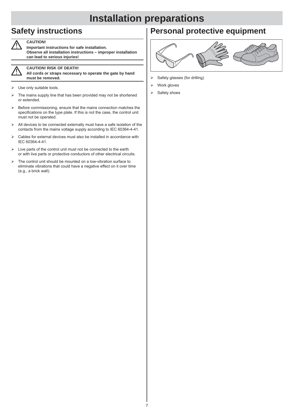## **Installation preparations**

### **Safety instructions**



**CAUTION! Important instructions for safe installation.** 

**Observe all installation instructions – improper installation can lead to serious injuries!**



#### **CAUTION! RISK OF DEATH!**

**All cords or straps necessary to operate the gate by hand must be removed.**

- $\triangleright$  Use only suitable tools.
- $\triangleright$  The mains supply line that has been provided may not be shortened or extended.
- Before commissioning, ensure that the mains connection matches the specifications on the type plate. If this is not the case, the control unit must not be operated.
- $\triangleright$  All devices to be connected externally must have a safe isolation of the contacts from the mains voltage supply according to IEC 60364-4-41.
- Cables for external devices must also be installed in accordance with IEC 60364-4-41.
- $\triangleright$  Live parts of the control unit must not be connected to the earth or with live parts or protective conductors of other electrical circuits.
- $\triangleright$  The control unit should be mounted on a low-vibration surface to eliminate vibrations that could have a negative effect on it over time (e.g., a brick wall).

### **Personal protective equipment**



- $\triangleright$  Safety glasses (for drilling)
- $\triangleright$  Work gloves
- $\triangleright$  Safety shoes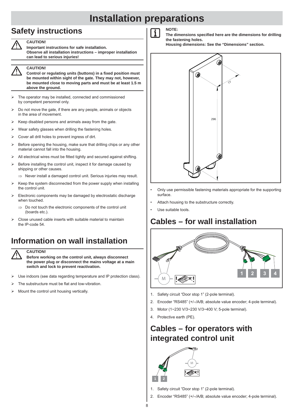## **Installation preparations**

### **Safety instructions**

**CAUTION!**



**CAUTION! Important instructions for safe installation.** 

**Observe all installation instructions – improper installation can lead to serious injuries!**

**Control or regulating units (buttons) in a fi xed position must be mounted within sight of the gate. They may not, however, be mounted close to moving parts and must be at least 1.5 m above the ground.**

- The operator may be installed, connected and commissioned by competent personnel only.
- Do not move the gate, if there are any people, animals or objects in the area of movement.
- $\triangleright$  Keep disabled persons and animals away from the gate.
- $\triangleright$  Wear safety glasses when drilling the fastening holes.
- Cover all drill holes to prevent ingress of dirt.
- $\triangleright$  Before opening the housing, make sure that drilling chips or any other material cannot fall into the housing.
- All electrical wires must be fitted tightly and secured against shifting.
- $\triangleright$  Before installing the control unit, inspect it for damage caused by shipping or other causes.
	- $\Rightarrow$  Never install a damaged control unit. Serious injuries may result.
- $\triangleright$  Keep the system disconnected from the power supply when installing the control unit.
- Electronic components may be damaged by electrostatic discharge when touched.
	- $\Rightarrow$  Do not touch the electronic components of the control unit (boards etc.)
- Close unused cable inserts with suitable material to maintain the IP-code 54

### **Information on wall installation**



#### **CAUTION!**

**Before working on the control unit, always disconnect the power plug or disconnect the mains voltage at a main switch and lock to prevent reactivation.**

- Use indoors (see data regarding temperature and IP protection class).
- The substructure must be flat and low-vibration.
- $\triangleright$  Mount the control unit housing vertically.



The dimensions specified here are the dimensions for drilling **the fastening holes.**

**Housing dimensions: See the "Dimensions" section.**



- Only use permissible fastening materials appropriate for the supporting surface.
- Attach housing to the substructure correctly.
- Use suitable tools.

### **Cables – for wall installation**



- 1. Safety circuit "Door stop 1" (2-pole terminal).
- 2. Encoder "RS485" (+/–/A/B; absolute value encoder; 4-pole terminal).
- 3. Motor (1~230 V/3~230 V/3~400 V; 5-pole terminal).
- 4. Protective earth (PE).

### **Cables – for operators with integrated control unit**



- 1. Safety circuit "Door stop 1" (2-pole terminal).
- 2. Encoder "RS485" (+/–/A/B; absolute value encoder; 4-pole terminal).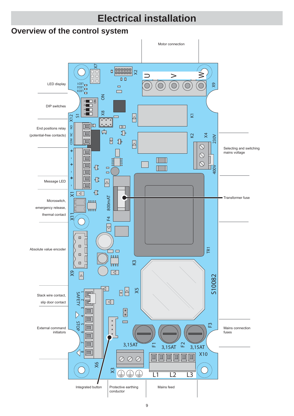#### **Electrical installationOverview of the control system** Motor connection  $\frac{1}{2}$  $\frac{1000}{\sqrt{20}}$  $\geqslant$  $\overline{\phantom{0}}$  $\geq$  $\boxed{\blacksquare}$  $\bigcirc$ LED display Ő X9  $\bigcirc$ Ó FEDJ<br>FED3<br>FED3  $\Box$  $\qquad \qquad \Box$  $\leq$ **P**<br> **D**<br>
ON<br>
ON 4 3 21 DIP switches X8  $\sqrt{1}$ X12<br>S1  $\overline{\mathbb{Q}}$  $\Delta$  $X11$   $X1$   $Y = 1 + 1 + 1 + 12X$ Ξ 7 ′∘ 面回  $\begin{array}{cc} 0 & 0 \end{array}$  $\overline{a}$  $\overline{2}$  $\boxed{\triangleright}$ End positions relay  $\overline{\mathbb{L}}$  $\mathbf{P}$  $\Box$ (potential-free contacts)  $\frac{c}{2}$  $\overline{\mathsf{x}}$  $\heartsuit$ 230V  $\frac{1}{2}$  $\trianglerighteq$  $\mathbb{P}$ 叵  $\boxed{\triangle}$  $\bigcirc$ Selecting and switching  $\ddot{}$  $\Box$ mains voltage  $\bigcirc$ Î,  $\Box$  $\Box$  $\overline{\phantom{0}}$  $\bigcirc$  $\ddot{}$ 回  $\mathbb{C}$  $\Box$ 400V  $\Box$  $\Box$  $\Box$  $\ddot{}$  $\Box$  $\color{red} \bigoplus$ Message LED  $\boxed{\triangle}$  $\Box$ **T**  $\sum_{i=1}^{n}$ 800mAT F4 800mAT Transformer fuse Microswitch, Ιn **Anna** emergency release, └┰┰┰ thermal contact 凡  $\overline{\triangledown}$  $\boxtimes$  $\boxtimes$ TR1 Absolute value encoder  $\Box$  $\Box$  $\boxtimes$ ற  $\sqrt{2}$  $\overline{2}$  $\boxtimes$ ᡰ᠇ᠳ Л  $\boxed{\triangleleft}$  $\infty$  $\boxed{\triangle}$ S10082  $\boxed{\triangledown}$ X5 SAFETY  $\mathbb{F}$ SAFETY  $\land$  STOP Slack wire contact,  $\boxed{\triangleleft}$  $\scriptstyle\sim$ slip door contact ੇ  $\begin{bmatrix} \phantom{-} \\ \phantom{-} \\ \phantom{-} \end{bmatrix}$  $\mathsf{m}$ IП  $\triangleright$ 4  $\circ$  $\Box$ STOP  $\mathbb{R}$  $\begin{matrix} 0 \\ 0 \end{matrix}$ س External command I Mains connection initiators fuses  $\overline{a}$ 6IT  $\frac{3,15AT}{2}$   $\overline{u}$   $\overline{3,15AT}$   $\overline{u}$   $\overline{3,15AT}$   $\overline{4,15AT}$  $\bar{}$ ◨  $\Box$  $\triangleleft$ 123  $\oslash$  $\oslash$  $\oslash$  $\frac{8}{2}$  $\approx$  $\bigoplus$  $\bigoplus$  $\bigoplus$  $\overline{L2}$ <u>Literature de la pro</u> Protective earthing | Mains feed Integrated button conductor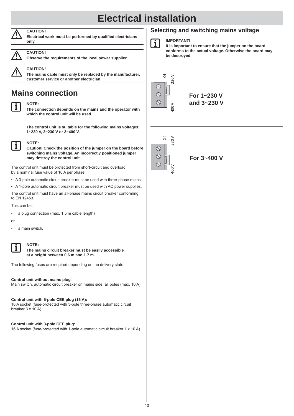

### **CAUTION!**





#### **CAUTION!**

**Observe the requirements of the local power supplier.**



#### **CAUTION!**

**NOTE:**

**The mains cable must only be replaced by the manufacturer, customer service or another electrician.**

### **Mains connection**



**The connection depends on the mains and the operator with which the control unit will be used.**

**The control unit is suitable for the following mains voltages: 1~230 V, 3~230 V or 3~400 V.**



**NOTE:**

**Caution! Check the position of the jumper on the board before switching mains voltage. An incorrectly positioned jumper may destroy the control unit.**

The control unit must be protected from short-circuit and overload by a nominal fuse value of 10 A per phase.

- A 3-pole automatic circuit breaker must be used with three-phase mains.
- A 1-pole automatic circuit breaker must be used with AC power supplies.

The control unit must have an all-phase mains circuit breaker conforming to EN 12453.

This can be:

- a plug connection (max. 1.5 m cable length)
- or
- a main switch.



#### **NOTE:**

**The mains circuit breaker must be easily accessible at a height between 0.6 m and 1.7 m.**

The following fuses are required depending on the delivery state:

#### **Control unit without mains plug**:

Main switch, automatic circuit breaker on mains side, all poles (max. 10 A)

#### **Control unit with 5-pole CEE plug (16 A):**

16 A socket (fuse-protected with 3-pole three-phase automatic circuit breaker 3 x 10 A)

**Control unit with 3-pole CEE plug:**

16 A socket (fuse-protected with 1-pole automatic circuit breaker 1 x 10 A)

### **Selecting and switching mains voltage**



#### **IMPORTANT!**

**It is important to ensure that the jumper on the board conforms to the actual voltage. Otherwise the board may be destroyed.**





**For 3~400 V**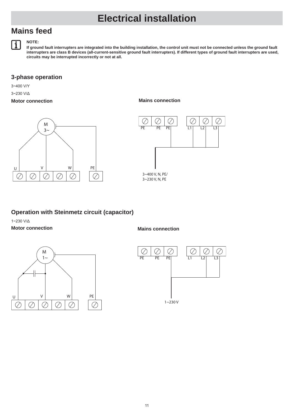### **Mains feed**



#### **NOTE:**

**If ground fault interrupters are integrated into the building installation, the control unit must not be connected unless the ground fault interrupters are class B devices (all-current-sensitive ground fault interrupters). If different types of ground fault interrupters are used, circuits may be interrupted incorrectly or not at all.**

#### **3-phase operation**

3~400 V/Y

3~230 V/Δ

#### **Motor connection**

U V W  $M$ <sub>3</sub> -<br>一 PE

**Mains connection**



### **Operation with Steinmetz circuit (capacitor)**

1~230 V/Δ **Motor connection**





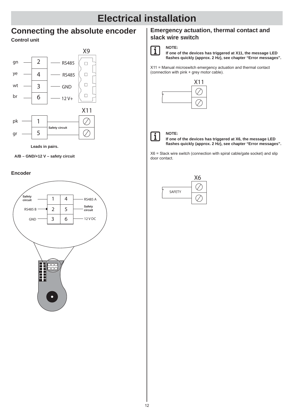### **Connecting the absolute encoder**

#### **Control unit**





**A/B – GND/+12 V – safety circuit**

#### **Encoder**



#### **Emergency actuation, thermal contact and slack wire switch**



## **NOTE:**

**If one of the devices has triggered at X11, the message LED fl ashes quickly (approx. 2 Hz), see chapter "Error messages".**

X11 = Manual microswitch emergency actuation and thermal contact (connection with pink + grey motor cable).





**If one of the devices has triggered at X6, the message LED fl ashes quickly (approx. 2 Hz), see chapter "Error messages".**

X6 = Slack wire switch (connection with spiral cable/gate socket) and slip door contact.

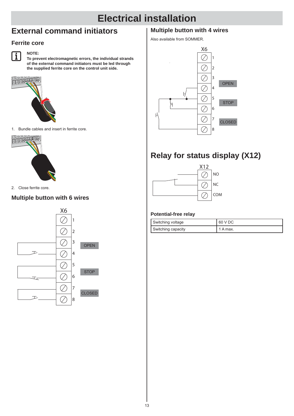### **External command initiators**

### **Ferrite core**



**NOTE:**

**To prevent electromagnetic errors, the individual strands of the external command initiators must be led through the supplied ferrite core on the control unit side.** 



1. Bundle cables and insert in ferrite core.



2. Close ferrite core.

### **Multiple button with 6 wires**



### **Multiple button with 4 wires**

Also available from SOMMER.



### **Relay for status display (X12)**



#### **Potential-free relay**

| Switching voltage  | 60 V DC  |
|--------------------|----------|
| Switching capacity | 1 A max. |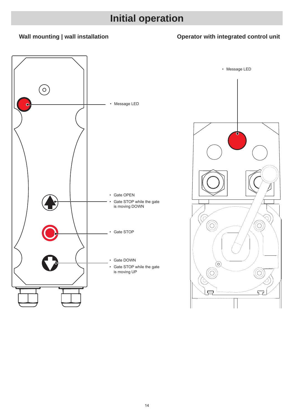### **Wall mounting | wall installation**

### **Operator with integrated control unit**



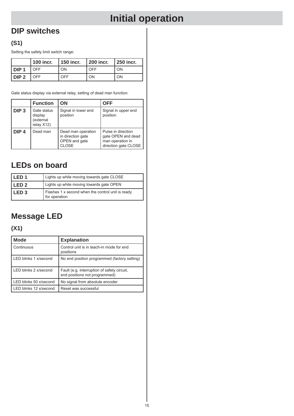### **DIP switches**

### **(S1)**

Setting the safety limit switch range:

|                    | l 100 incr. | $ 150$ incr. $ 200$ incr. |     | $\vert$ 250 incr. |
|--------------------|-------------|---------------------------|-----|-------------------|
| l DIP <sub>1</sub> | OFF         | ON                        | OFF | ON                |
| IDIP2              | LOFF.       | OFF                       | ΟN  | ON                |

Gate status display via external relay, setting of dead man function:

|                  | <b>Function</b>                                   | ΟN                                                                       | <b>OFF</b>                                                                           |
|------------------|---------------------------------------------------|--------------------------------------------------------------------------|--------------------------------------------------------------------------------------|
| DIP <sub>3</sub> | Gate status<br>display<br>(external<br>relay X12) | Signal in lower end<br>position                                          | Signal in upper end<br>position                                                      |
| DIP <sub>4</sub> | Dead man                                          | Dead man operation<br>in direction gate<br>OPEN and gate<br><b>CLOSE</b> | Pulse in direction<br>gate OPEN and dead<br>man operation in<br>direction gate CLOSE |

### **LEDs on board**

| l LED 1 | Lights up while moving towards gate CLOSE                          |
|---------|--------------------------------------------------------------------|
| l LED 2 | Lights up while moving towards gate OPEN                           |
| l LED 3 | Flashes 1 x second when the control unit is ready<br>for operation |

### **Message LED**

### **(X1)**

| <b>Mode</b>            | <b>Explanation</b>                                                           |
|------------------------|------------------------------------------------------------------------------|
| Continuous             | Control unit is in teach-in mode for end<br>positions                        |
| LED blinks 1 x/second  | No end position programmed (factory setting)                                 |
| LED blinks 2 x/second  | Fault (e.g. interruption of safety circuit,<br>end positions not programmed) |
| LED blinks 50 x/second | No signal from absolute encoder                                              |
| LED blinks 12 x/second | Reset was successful                                                         |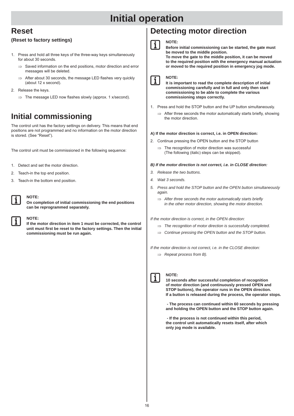### **Reset**

#### **(Reset to factory settings)**

- Press and hold all three keys of the three-way keys simultaneously for about 30 seconds.
	- $\Rightarrow$  Saved information on the end positions, motor direction and error messages will be deleted.
	- $\Rightarrow$  After about 30 seconds, the message LED flashes very quickly (about 12 x second).
- 2. Release the keys.
	- $\Rightarrow$  The message LED now flashes slowly (approx. 1 x/second).

### **Initial commissioning**

The control unit has the factory settings on delivery. This means that end positions are not programmed and no information on the motor direction is stored. (See "Reset").

The control unit must be commissioned in the following sequence:

- 1. Detect and set the motor direction.
- 2. Teach-in the top end position.
- 3. Teach-in the bottom end position.



### **NOTE:**

**On completion of initial commissioning the end positions can be reprogrammed separately.**

#### **NOTE:**

**If the motor direction in item 1 must be corrected, the control unit must fi rst be reset to the factory settings. Then the initial commissioning must be run again.**

### **Detecting motor direction**



#### **NOTE:**

**Before initial commissioning can be started, the gate must be moved to the middle position. To move the gate to the middle position, it can be moved to the required position with the emergency manual actuation or moved to the required position in emergency jog mode.**

#### **NOTE:**  $\mathbf i$

**It is important to read the complete description of initial commissioning carefully and in full and only then start commissioning to be able to complete the various commissioning steps correctly.**

- 1. Press and hold the STOP button and the UP button simultaneously.
	- $\Rightarrow$  After three seconds the motor automatically starts briefly, showing the motor direction.

#### **A) If the motor direction is correct, i.e. in OPEN direction:**

- 2. Continue pressing the OPEN button and the STOP button
	- $\Rightarrow$  The recognition of motor direction was successful (The following (italic) steps can be skipped).

#### *B) If the motor direction is not correct, i.e. in CLOSE direction:*

- *3. Release the two buttons.*
- *4. Wait 3 seconds.*
- *5. Press and hold the STOP button and the OPEN button simultaneously again.*
	- $\implies$  After three seconds the motor automatically starts briefly *in the other motor direction, showing the motor direction.*

*If the motor direction is correct, in the OPEN direction:*

- *The recognition of motor direction is successfully completed.*
- *Continue pressing the OPEN button and the STOP button.*

*If the motor direction is not correct, i.e. in the CLOSE direction:*

*Repeat process from B).*



#### **NOTE:**

**10 seconds after successful completion of recognition of motor direction (and continuously pressed OPEN and STOP buttons), the operator runs in the OPEN direction. If a button is released during the process, the operator stops.** 

 **- The process can continued within 60 seconds by pressing and holding the OPEN button and the STOP button again.**

 **- If the process is not continued within this period, the control unit automatically resets itself, after which only jog mode is available.**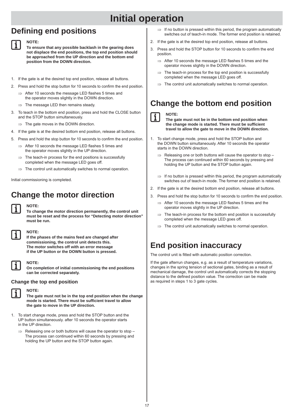### **Defi ning end positions**



**NOTE:**

**To ensure that any possible backlash in the gearing does not displace the end positions, the top end position should be approached from the UP direction and the bottom end position from the DOWN direction.**

- 1. If the gate is at the desired top end position, release all buttons.
- 2. Press and hold the stop button for 10 seconds to confirm the end position.
	- $\Rightarrow$  After 10 seconds the message LED flashes 5 times and the operator moves slightly in the DOWN direction.
	- The message LED then remains steady.
- 3. To teach in the bottom end position, press and hold the CLOSE button and the STOP button simultaneously.
	- $\Rightarrow$  The gate moves in the DOWN direction.
- 4. If the gate is at the desired bottom end position, release all buttons.
- 5. Press and hold the stop button for 10 seconds to confirm the end position.
	- $\Rightarrow$  After 10 seconds the message LED flashes 5 times and the operator moves slightly in the UP direction.
	- The teach-in process for the end positions is successfully completed when the message LED goes off.
	- $\Rightarrow$  The control unit automatically switches to normal operation.

Initial commissioning is completed.

### **Change the motor direction**

#### **NOTE:**

**To change the motor direction permanently, the control unit must be reset and the process for "Detecting motor direction" must be run.**



#### **NOTE:**

**If the phases of the mains feed are changed after commissioning, the control unit detects this. The motor switches off with an error message if the UP button or the DOWN button is pressed.**

#### **NOTE:**

**On completion of initial commissioning the end positions can be corrected separately.**

#### **Change the top end position**



**NOTE:**

**The gate must not be in the top end position when the change**  mode is started. There must be sufficient travel to allow **the gate to move in the UP direction.**

- 1. To start change mode, press and hold the STOP button and the UP button simultaneously. after 10 seconds the operator starts in the UP direction.
	- Releasing one or both buttons will cause the operator to stop The process can continued within 60 seconds by pressing and holding the UP button and the STOP button again.
- $\Rightarrow$  If no button is pressed within this period, the program automatically switches out of teach-in mode. The former end position is retained.
- 2. If the gate is at the desired top end position, release all buttons.
	- Press and hold the STOP button for 10 seconds to confirm the end position.
		- $\Rightarrow$  After 10 seconds the message LED flashes 5 times and the operator moves slightly in the DOWN direction.
		- $\Rightarrow$  The teach-in process for the top end position is successfully completed when the message LED goes off.
		- $\Rightarrow$  The control unit automatically switches to normal operation.

### **Change the bottom end position**

#### **NOTE:** j.

**The gate must not be in the bottom end position when the change mode is started. There must be suffi cient travel to allow the gate to move in the DOWN direction.**

- 1. To start change mode, press and hold the STOP button and the DOWN button simultaneously. After 10 seconds the operator starts in the DOWN direction.
	- $\Rightarrow$  Releasing one or both buttons will cause the operator to stop The process can continued within 60 seconds by pressing and holding the UP button and the STOP button again.
	- $\Rightarrow$  If no button is pressed within this period, the program automatically switches out of teach-in mode. The former end position is retained.
- 2. If the gate is at the desired bottom end position, release all buttons.
- 3. Press and hold the stop button for 10 seconds to confirm the end position.
	- $\Rightarrow$  After 10 seconds the message LED flashes 5 times and the operator moves slightly in the UP direction.
	- $\Rightarrow$  The teach-in process for the bottom end position is successfully completed when the message LED goes off.
	- $\Rightarrow$  The control unit automatically switches to normal operation.

### **End position inaccuracy**

The control unit is fitted with automatic position correction.

If the gate afterrun changes, e.g. as a result of temperature variations, changes in the spring tension of sectional gates, binding as a result of mechanical damage, the control unit automatically corrects the stopping distance to the defined position value. The correction can be made as required in steps 1 to 3 gate cycles.